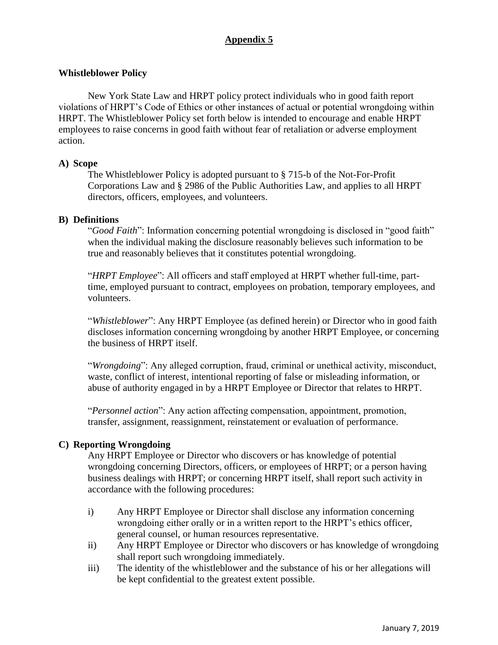# **Appendix 5**

### **Whistleblower Policy**

New York State Law and HRPT policy protect individuals who in good faith report violations of HRPT's Code of Ethics or other instances of actual or potential wrongdoing within HRPT. The Whistleblower Policy set forth below is intended to encourage and enable HRPT employees to raise concerns in good faith without fear of retaliation or adverse employment action.

#### **A) Scope**

The Whistleblower Policy is adopted pursuant to § 715-b of the Not-For-Profit Corporations Law and § 2986 of the Public Authorities Law, and applies to all HRPT directors, officers, employees, and volunteers.

## **B) Definitions**

"*Good Faith*": Information concerning potential wrongdoing is disclosed in "good faith" when the individual making the disclosure reasonably believes such information to be true and reasonably believes that it constitutes potential wrongdoing.

"*HRPT Employee*": All officers and staff employed at HRPT whether full-time, parttime, employed pursuant to contract, employees on probation, temporary employees, and volunteers.

"*Whistleblower*": Any HRPT Employee (as defined herein) or Director who in good faith discloses information concerning wrongdoing by another HRPT Employee, or concerning the business of HRPT itself.

"*Wrongdoing*": Any alleged corruption, fraud, criminal or unethical activity, misconduct, waste, conflict of interest, intentional reporting of false or misleading information, or abuse of authority engaged in by a HRPT Employee or Director that relates to HRPT.

"*Personnel action*": Any action affecting compensation, appointment, promotion, transfer, assignment, reassignment, reinstatement or evaluation of performance.

# **C) Reporting Wrongdoing**

Any HRPT Employee or Director who discovers or has knowledge of potential wrongdoing concerning Directors, officers, or employees of HRPT; or a person having business dealings with HRPT; or concerning HRPT itself, shall report such activity in accordance with the following procedures:

- i) Any HRPT Employee or Director shall disclose any information concerning wrongdoing either orally or in a written report to the HRPT's ethics officer, general counsel, or human resources representative.
- ii) Any HRPT Employee or Director who discovers or has knowledge of wrongdoing shall report such wrongdoing immediately.
- iii) The identity of the whistleblower and the substance of his or her allegations will be kept confidential to the greatest extent possible.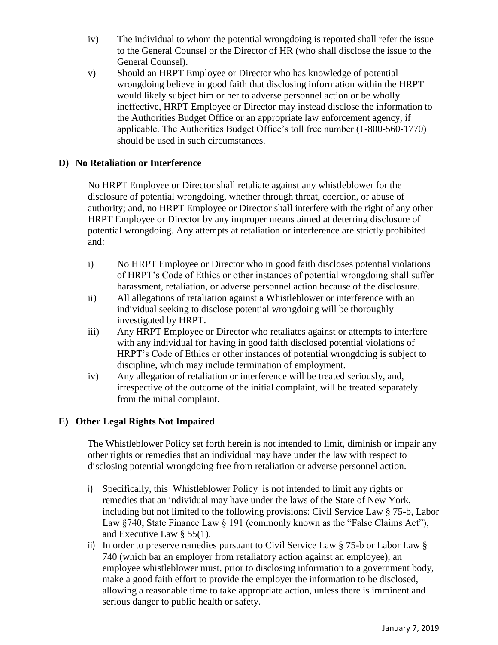- iv) The individual to whom the potential wrongdoing is reported shall refer the issue to the General Counsel or the Director of HR (who shall disclose the issue to the General Counsel).
- v) Should an HRPT Employee or Director who has knowledge of potential wrongdoing believe in good faith that disclosing information within the HRPT would likely subject him or her to adverse personnel action or be wholly ineffective, HRPT Employee or Director may instead disclose the information to the Authorities Budget Office or an appropriate law enforcement agency, if applicable. The Authorities Budget Office's toll free number (1-800-560-1770) should be used in such circumstances.

## **D) No Retaliation or Interference**

No HRPT Employee or Director shall retaliate against any whistleblower for the disclosure of potential wrongdoing, whether through threat, coercion, or abuse of authority; and, no HRPT Employee or Director shall interfere with the right of any other HRPT Employee or Director by any improper means aimed at deterring disclosure of potential wrongdoing. Any attempts at retaliation or interference are strictly prohibited and:

- i) No HRPT Employee or Director who in good faith discloses potential violations of HRPT's Code of Ethics or other instances of potential wrongdoing shall suffer harassment, retaliation, or adverse personnel action because of the disclosure.
- ii) All allegations of retaliation against a Whistleblower or interference with an individual seeking to disclose potential wrongdoing will be thoroughly investigated by HRPT.
- iii) Any HRPT Employee or Director who retaliates against or attempts to interfere with any individual for having in good faith disclosed potential violations of HRPT's Code of Ethics or other instances of potential wrongdoing is subject to discipline, which may include termination of employment.
- iv) Any allegation of retaliation or interference will be treated seriously, and, irrespective of the outcome of the initial complaint, will be treated separately from the initial complaint.

# **E) Other Legal Rights Not Impaired**

The Whistleblower Policy set forth herein is not intended to limit, diminish or impair any other rights or remedies that an individual may have under the law with respect to disclosing potential wrongdoing free from retaliation or adverse personnel action.

- i) Specifically, this Whistleblower Policy is not intended to limit any rights or remedies that an individual may have under the laws of the State of New York, including but not limited to the following provisions: Civil Service Law § 75-b, Labor Law §740, State Finance Law § 191 (commonly known as the "False Claims Act"), and Executive Law § 55(1).
- ii) In order to preserve remedies pursuant to Civil Service Law § 75-b or Labor Law § 740 (which bar an employer from retaliatory action against an employee), an employee whistleblower must, prior to disclosing information to a government body, make a good faith effort to provide the employer the information to be disclosed, allowing a reasonable time to take appropriate action, unless there is imminent and serious danger to public health or safety.